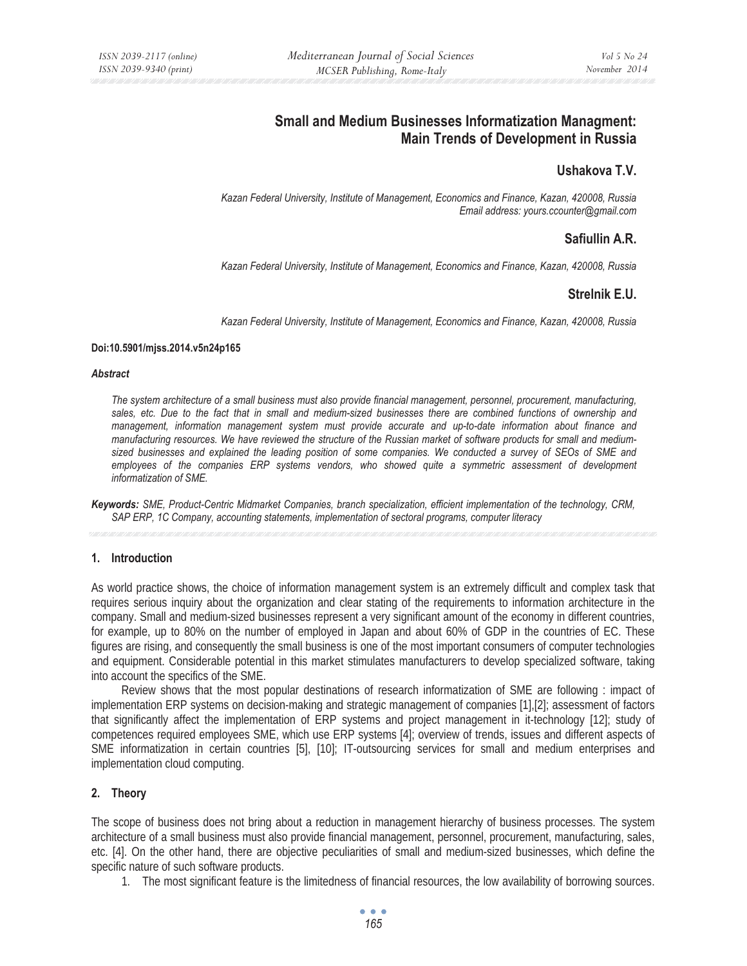# **Small and Medium Businesses Informatization Managment: Main Trends of Development in Russia**

## **Ushakova T.V.**

*Kazan Federal University, Institute of Management, Economics and Finance, Kazan, 420008, Russia Email address: yours.ccounter@gmail.com* 

## **Safiullin A.R.**

*Kazan Federal University, Institute of Management, Economics and Finance, Kazan, 420008, Russia* 

## **Strelnik E.U.**

*Kazan Federal University, Institute of Management, Economics and Finance, Kazan, 420008, Russia* 

#### **Doi:10.5901/mjss.2014.v5n24p165**

#### *Abstract*

*The system architecture of a small business must also provide financial management, personnel, procurement, manufacturing,*  sales, etc. Due to the fact that in small and medium-sized businesses there are combined functions of ownership and *management, information management system must provide accurate and up-to-date information about finance and manufacturing resources. We have reviewed the structure of the Russian market of software products for small and mediumsized businesses and explained the leading position of some companies. We conducted a survey of SEOs of SME and*  employees of the companies ERP systems vendors, who showed quite a symmetric assessment of development *informatization of SME.* 

*Keywords: SME, Product-Centric Midmarket Companies, branch specialization, efficient implementation of the technology, CRM, SAP ERP, 1C Company, accounting statements, implementation of sectoral programs, computer literacy* 

#### **1. Introduction**

As world practice shows, the choice of information management system is an extremely difficult and complex task that requires serious inquiry about the organization and clear stating of the requirements to information architecture in the company. Small and medium-sized businesses represent a very significant amount of the economy in different countries, for example, up to 80% on the number of employed in Japan and about 60% of GDP in the countries of EC. These figures are rising, and consequently the small business is one of the most important consumers of computer technologies and equipment. Considerable potential in this market stimulates manufacturers to develop specialized software, taking into account the specifics of the SME.

Review shows that the most popular destinations of research informatization of SME are following : impact of implementation ERP systems on decision-making and strategic management of companies [1],[2]; assessment of factors that significantly affect the implementation of ERP systems and project management in it-technology [12]; study of competences required employees SME, which use ERP systems [4]; overview of trends, issues and different aspects of SME informatization in certain countries [5], [10]; IT-outsourcing services for small and medium enterprises and implementation cloud computing.

### **2. Theory**

The scope of business does not bring about a reduction in management hierarchy of business processes. The system architecture of a small business must also provide financial management, personnel, procurement, manufacturing, sales, etc. [4]. On the other hand, there are objective peculiarities of small and medium-sized businesses, which define the specific nature of such software products.

1. The most significant feature is the limitedness of financial resources, the low availability of borrowing sources.

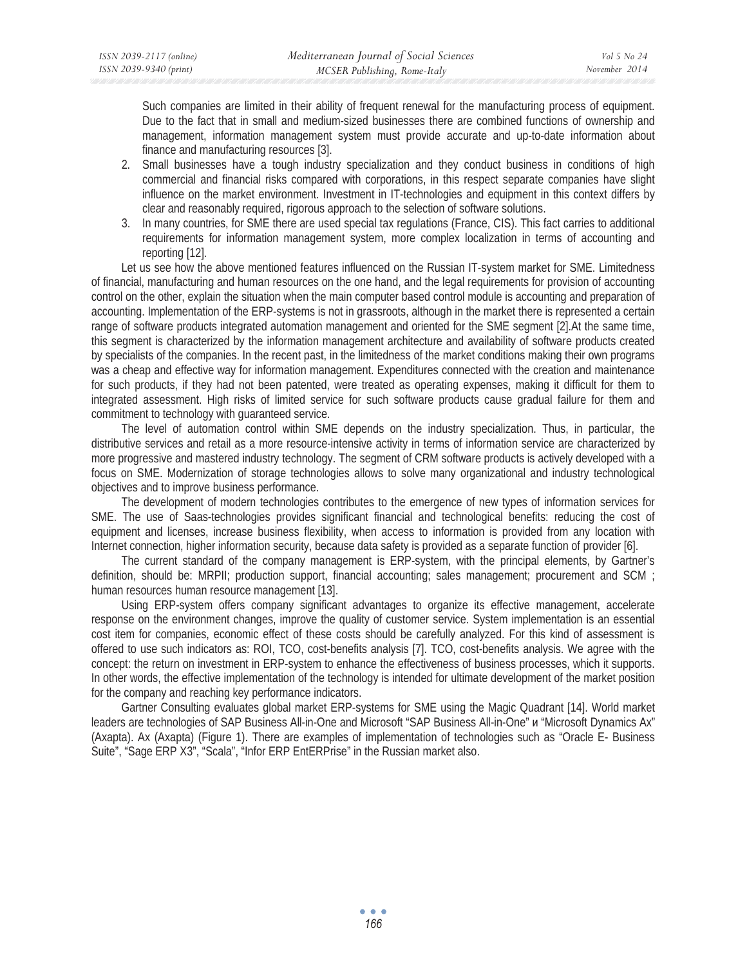Such companies are limited in their ability of frequent renewal for the manufacturing process of equipment. Due to the fact that in small and medium-sized businesses there are combined functions of ownership and management, information management system must provide accurate and up-to-date information about finance and manufacturing resources [3].

- 2. Small businesses have a tough industry specialization and they conduct business in conditions of high commercial and financial risks compared with corporations, in this respect separate companies have slight influence on the market environment. Investment in IT-technologies and equipment in this context differs by clear and reasonably required, rigorous approach to the selection of software solutions.
- 3. In many countries, for SME there are used special tax regulations (France, CIS). This fact carries to additional requirements for information management system, more complex localization in terms of accounting and reporting [12].

Let us see how the above mentioned features influenced on the Russian IT-system market for SME. Limitedness of financial, manufacturing and human resources on the one hand, and the legal requirements for provision of accounting control on the other, explain the situation when the main computer based control module is accounting and preparation of accounting. Implementation of the ERP-systems is not in grassroots, although in the market there is represented a certain range of software products integrated automation management and oriented for the SME segment [2].At the same time, this segment is characterized by the information management architecture and availability of software products created by specialists of the companies. In the recent past, in the limitedness of the market conditions making their own programs was a cheap and effective way for information management. Expenditures connected with the creation and maintenance for such products, if they had not been patented, were treated as operating expenses, making it difficult for them to integrated assessment. High risks of limited service for such software products cause gradual failure for them and commitment to technology with guaranteed service.

The level of automation control within SME depends on the industry specialization. Thus, in particular, the distributive services and retail as a more resource-intensive activity in terms of information service are characterized by more progressive and mastered industry technology. The segment of CRM software products is actively developed with a focus on SME. Modernization of storage technologies allows to solve many organizational and industry technological objectives and to improve business performance.

The development of modern technologies contributes to the emergence of new types of information services for SME. The use of Saas-technologies provides significant financial and technological benefits: reducing the cost of equipment and licenses, increase business flexibility, when access to information is provided from any location with Internet connection, higher information security, because data safety is provided as a separate function of provider [6].

The current standard of the company management is ERP-system, with the principal elements, by Gartner's definition, should be: MRPII; production support, financial accounting; sales management; procurement and SCM ; human resources human resource management [13].

Using ERP-system offers company significant advantages to organize its effective management, accelerate response on the environment changes, improve the quality of customer service. System implementation is an essential cost item for companies, economic effect of these costs should be carefully analyzed. For this kind of assessment is offered to use such indicators as: ROI, TCO, cost-benefits analysis [7]. TCO, cost-benefits analysis. We agree with the concept: the return on investment in ERP-system to enhance the effectiveness of business processes, which it supports. In other words, the effective implementation of the technology is intended for ultimate development of the market position for the company and reaching key performance indicators.

Gartner Consulting evaluates global market ERP-systems for SME using the Magic Quadrant [14]. World market leaders are technologies of SAP Business All-in-One and Microsoft "SAP Business All-in-One" u "Microsoft Dynamics Ax" (Axapta). Ax (Axapta) (Figure 1). There are examples of implementation of technologies such as "Oracle E- Business Suite", "Sage ERP X3", "Scala", "Infor ERP EntERPrise" in the Russian market also.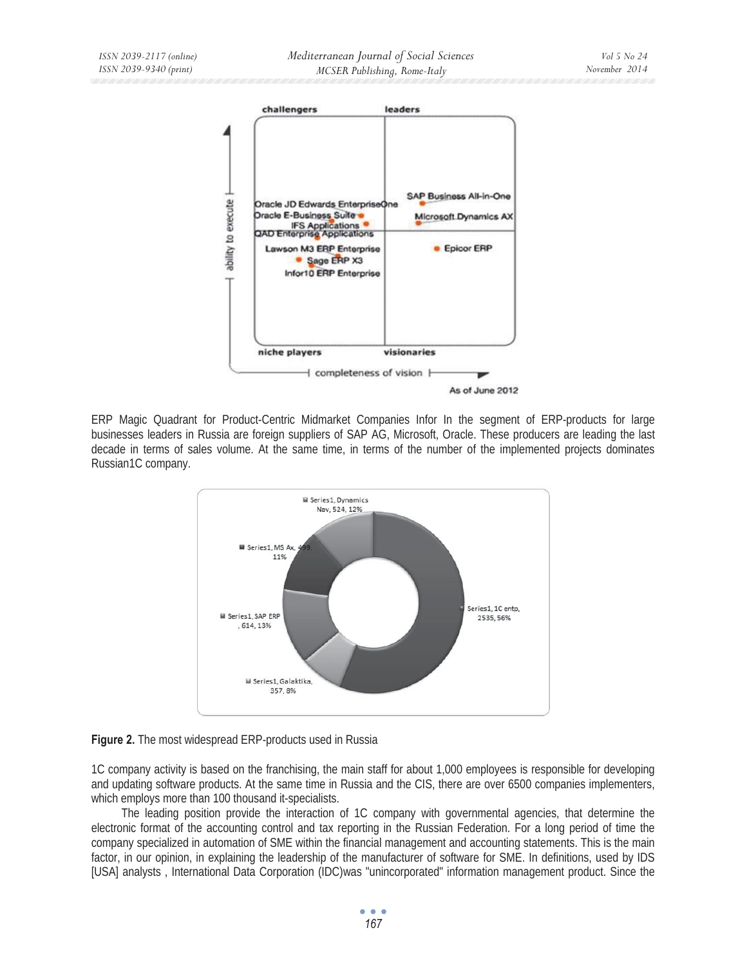

ERP Magic Quadrant for Product-Centric Midmarket Companies Infor In the segment of ERP-products for large businesses leaders in Russia are foreign suppliers of SAP AG, Microsoft, Oracle. These producers are leading the last decade in terms of sales volume. At the same time, in terms of the number of the implemented projects dominates Russian1C company.



**Figure 2.** The most widespread ERP-products used in Russia

1C company activity is based on the franchising, the main staff for about 1,000 employees is responsible for developing and updating software products. At the same time in Russia and the CIS, there are over 6500 companies implementers, which employs more than 100 thousand it-specialists.

The leading position provide the interaction of 1C company with governmental agencies, that determine the electronic format of the accounting control and tax reporting in the Russian Federation. For a long period of time the company specialized in automation of SME within the financial management and accounting statements. This is the main factor, in our opinion, in explaining the leadership of the manufacturer of software for SME. In definitions, used by IDS [USA] analysts , International Data Corporation (IDC)was "unincorporated" information management product. Since the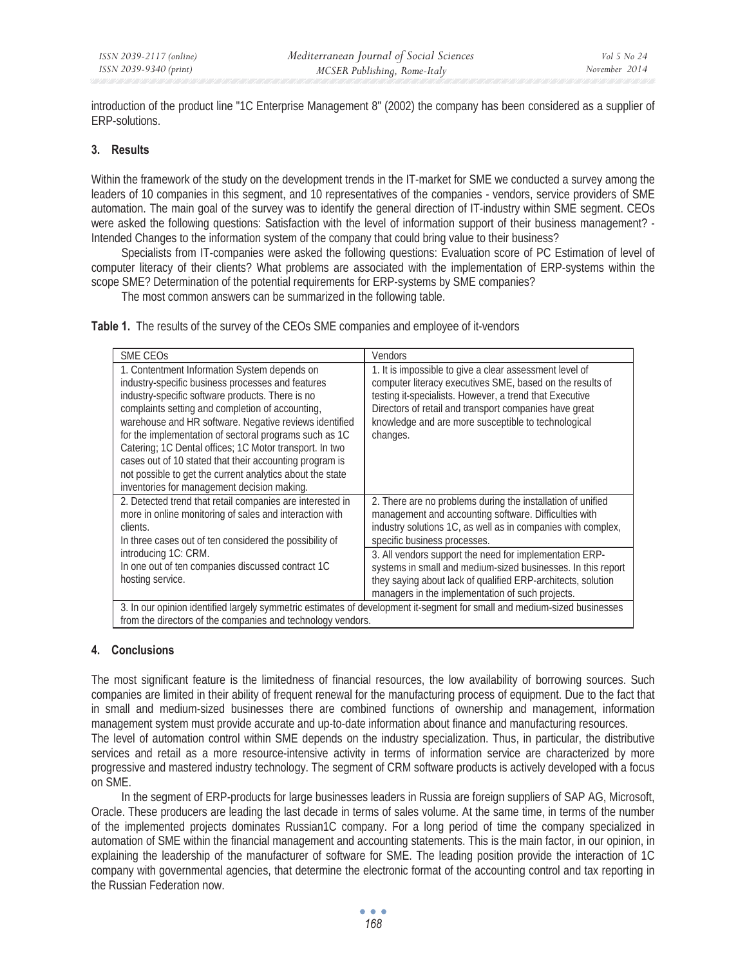introduction of the product line "1C Enterprise Management 8" (2002) the company has been considered as a supplier of ERP-solutions.

## **3. Results**

Within the framework of the study on the development trends in the IT-market for SME we conducted a survey among the leaders of 10 companies in this segment, and 10 representatives of the companies - vendors, service providers of SME automation. The main goal of the survey was to identify the general direction of IT-industry within SME segment. CEOs were asked the following questions: Satisfaction with the level of information support of their business management? - Intended Changes to the information system of the company that could bring value to their business?

Specialists from IT-companies were asked the following questions: Evaluation score of PC Estimation of level of computer literacy of their clients? What problems are associated with the implementation of ERP-systems within the scope SME? Determination of the potential requirements for ERP-systems by SME companies?

The most common answers can be summarized in the following table.

**Table 1.** The results of the survey of the CEOs SME companies and employee of it-vendors

| <b>SME CEOS</b>                                                                                                                                                                                                                                                                                                                                                                                                                                                                                                                                                 | <b>Vendors</b>                                                                                                                                                                                                                                                                                               |
|-----------------------------------------------------------------------------------------------------------------------------------------------------------------------------------------------------------------------------------------------------------------------------------------------------------------------------------------------------------------------------------------------------------------------------------------------------------------------------------------------------------------------------------------------------------------|--------------------------------------------------------------------------------------------------------------------------------------------------------------------------------------------------------------------------------------------------------------------------------------------------------------|
| 1. Contentment Information System depends on<br>industry-specific business processes and features<br>industry-specific software products. There is no<br>complaints setting and completion of accounting,<br>warehouse and HR software. Negative reviews identified<br>for the implementation of sectoral programs such as 1C<br>Catering; 1C Dental offices; 1C Motor transport. In two<br>cases out of 10 stated that their accounting program is<br>not possible to get the current analytics about the state<br>inventories for management decision making. | 1. It is impossible to give a clear assessment level of<br>computer literacy executives SME, based on the results of<br>testing it-specialists. However, a trend that Executive<br>Directors of retail and transport companies have great<br>knowledge and are more susceptible to technological<br>changes. |
| 2. Detected trend that retail companies are interested in<br>more in online monitoring of sales and interaction with<br>clients.<br>In three cases out of ten considered the possibility of                                                                                                                                                                                                                                                                                                                                                                     | 2. There are no problems during the installation of unified<br>management and accounting software. Difficulties with<br>industry solutions 1C, as well as in companies with complex,<br>specific business processes.                                                                                         |
| introducing 1C: CRM.<br>In one out of ten companies discussed contract 1C<br>hosting service.                                                                                                                                                                                                                                                                                                                                                                                                                                                                   | 3. All vendors support the need for implementation ERP-<br>systems in small and medium-sized businesses. In this report<br>they saying about lack of qualified ERP-architects, solution<br>managers in the implementation of such projects.                                                                  |
| 3. In our opinion identified largely symmetric estimates of development it-segment for small and medium-sized businesses<br>from the directors of the companies and technology vendors.                                                                                                                                                                                                                                                                                                                                                                         |                                                                                                                                                                                                                                                                                                              |

## **4. Conclusions**

The most significant feature is the limitedness of financial resources, the low availability of borrowing sources. Such companies are limited in their ability of frequent renewal for the manufacturing process of equipment. Due to the fact that in small and medium-sized businesses there are combined functions of ownership and management, information management system must provide accurate and up-to-date information about finance and manufacturing resources. The level of automation control within SME depends on the industry specialization. Thus, in particular, the distributive services and retail as a more resource-intensive activity in terms of information service are characterized by more progressive and mastered industry technology. The segment of CRM software products is actively developed with a focus on SME.

In the segment of ERP-products for large businesses leaders in Russia are foreign suppliers of SAP AG, Microsoft, Oracle. These producers are leading the last decade in terms of sales volume. At the same time, in terms of the number of the implemented projects dominates Russian1C company. For a long period of time the company specialized in automation of SME within the financial management and accounting statements. This is the main factor, in our opinion, in explaining the leadership of the manufacturer of software for SME. The leading position provide the interaction of 1C company with governmental agencies, that determine the electronic format of the accounting control and tax reporting in the Russian Federation now.